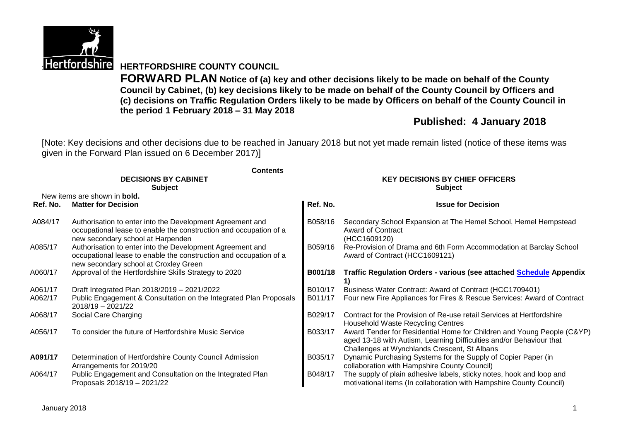

**Hertfordshire HERTFORDSHIRE COUNTY COUNCIL** 

**FORWARD PLAN Notice of (a) key and other decisions likely to be made on behalf of the County Council by Cabinet, (b) key decisions likely to be made on behalf of the County Council by Officers and (c) decisions on Traffic Regulation Orders likely to be made by Officers on behalf of the County Council in the period 1 February 2018 – 31 May 2018**

# **Published: 4 January 2018**

[Note: Key decisions and other decisions due to be reached in January 2018 but not yet made remain listed (notice of these items was given in the Forward Plan issued on 6 December 2017)]

|          | <b>Contents</b>                                                                                                                                                         |                                        |                                                                                                                                                                                               |  |  |
|----------|-------------------------------------------------------------------------------------------------------------------------------------------------------------------------|----------------------------------------|-----------------------------------------------------------------------------------------------------------------------------------------------------------------------------------------------|--|--|
|          | <b>DECISIONS BY CABINET</b>                                                                                                                                             | <b>KEY DECISIONS BY CHIEF OFFICERS</b> |                                                                                                                                                                                               |  |  |
|          | <b>Subject</b>                                                                                                                                                          |                                        | <b>Subject</b>                                                                                                                                                                                |  |  |
|          | New items are shown in <b>bold.</b>                                                                                                                                     |                                        |                                                                                                                                                                                               |  |  |
| Ref. No. | <b>Matter for Decision</b>                                                                                                                                              | Ref. No.                               | <b>Issue for Decision</b>                                                                                                                                                                     |  |  |
| A084/17  | Authorisation to enter into the Development Agreement and<br>occupational lease to enable the construction and occupation of a<br>new secondary school at Harpenden     | B058/16                                | Secondary School Expansion at The Hemel School, Hemel Hempstead<br><b>Award of Contract</b><br>(HCC1609120)                                                                                   |  |  |
| A085/17  | Authorisation to enter into the Development Agreement and<br>occupational lease to enable the construction and occupation of a<br>new secondary school at Croxley Green | B059/16                                | Re-Provision of Drama and 6th Form Accommodation at Barclay School<br>Award of Contract (HCC1609121)                                                                                          |  |  |
| A060/17  | Approval of the Hertfordshire Skills Strategy to 2020                                                                                                                   | B001/18                                | <b>Traffic Regulation Orders - various (see attached Schedule Appendix</b><br>1)                                                                                                              |  |  |
| A061/17  | Draft Integrated Plan 2018/2019 - 2021/2022                                                                                                                             | B010/17                                | Business Water Contract: Award of Contract (HCC1709401)                                                                                                                                       |  |  |
| A062/17  | Public Engagement & Consultation on the Integrated Plan Proposals<br>$2018/19 - 2021/22$                                                                                | B011/17                                | Four new Fire Appliances for Fires & Rescue Services: Award of Contract                                                                                                                       |  |  |
| A068/17  | Social Care Charging                                                                                                                                                    | B029/17                                | Contract for the Provision of Re-use retail Services at Hertfordshire<br>Household Waste Recycling Centres                                                                                    |  |  |
| A056/17  | To consider the future of Hertfordshire Music Service                                                                                                                   | B033/17                                | Award Tender for Residential Home for Children and Young People (C&YP)<br>aged 13-18 with Autism, Learning Difficulties and/or Behaviour that<br>Challenges at Wynchlands Crescent, St Albans |  |  |
| A091/17  | Determination of Hertfordshire County Council Admission<br>Arrangements for 2019/20                                                                                     | B035/17                                | Dynamic Purchasing Systems for the Supply of Copier Paper (in<br>collaboration with Hampshire County Council)                                                                                 |  |  |
| A064/17  | Public Engagement and Consultation on the Integrated Plan<br>Proposals 2018/19 - 2021/22                                                                                | B048/17                                | The supply of plain adhesive labels, sticky notes, hook and loop and<br>motivational items (In collaboration with Hampshire County Council)                                                   |  |  |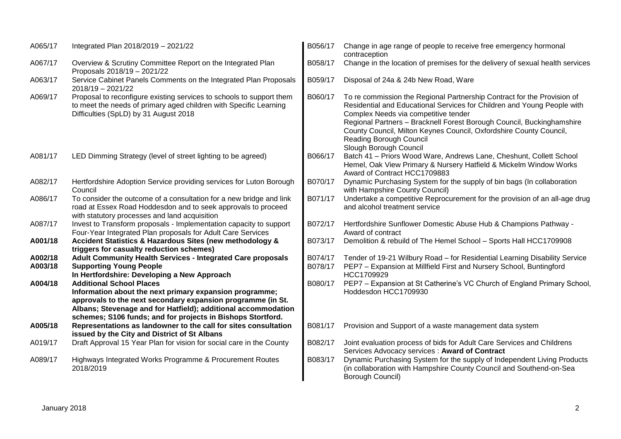| A065/17 | Integrated Plan 2018/2019 - 2021/22                                                                                                                                                                                                                                                       | B056/17 | Change in age range of people to receive free emergency hormonal<br>contraception                                                                                                                                                                                                                                                                                                              |
|---------|-------------------------------------------------------------------------------------------------------------------------------------------------------------------------------------------------------------------------------------------------------------------------------------------|---------|------------------------------------------------------------------------------------------------------------------------------------------------------------------------------------------------------------------------------------------------------------------------------------------------------------------------------------------------------------------------------------------------|
| A067/17 | Overview & Scrutiny Committee Report on the Integrated Plan<br>Proposals 2018/19 - 2021/22                                                                                                                                                                                                | B058/17 | Change in the location of premises for the delivery of sexual health services                                                                                                                                                                                                                                                                                                                  |
| A063/17 | Service Cabinet Panels Comments on the Integrated Plan Proposals<br>$2018/19 - 2021/22$                                                                                                                                                                                                   | B059/17 | Disposal of 24a & 24b New Road, Ware                                                                                                                                                                                                                                                                                                                                                           |
| A069/17 | Proposal to reconfigure existing services to schools to support them<br>to meet the needs of primary aged children with Specific Learning<br>Difficulties (SpLD) by 31 August 2018                                                                                                        | B060/17 | To re commission the Regional Partnership Contract for the Provision of<br>Residential and Educational Services for Children and Young People with<br>Complex Needs via competitive tender<br>Regional Partners - Bracknell Forest Borough Council, Buckinghamshire<br>County Council, Milton Keynes Council, Oxfordshire County Council,<br>Reading Borough Council<br>Slough Borough Council |
| A081/17 | LED Dimming Strategy (level of street lighting to be agreed)                                                                                                                                                                                                                              | B066/17 | Batch 41 - Priors Wood Ware, Andrews Lane, Cheshunt, Collett School<br>Hemel, Oak View Primary & Nursery Hatfield & Mickelm Window Works<br>Award of Contract HCC1709883                                                                                                                                                                                                                       |
| A082/17 | Hertfordshire Adoption Service providing services for Luton Borough<br>Council                                                                                                                                                                                                            | B070/17 | Dynamic Purchasing System for the supply of bin bags (In collaboration<br>with Hampshire County Council)                                                                                                                                                                                                                                                                                       |
| A086/17 | To consider the outcome of a consultation for a new bridge and link<br>road at Essex Road Hoddesdon and to seek approvals to proceed<br>with statutory processes and land acquisition                                                                                                     | B071/17 | Undertake a competitive Reprocurement for the provision of an all-age drug<br>and alcohol treatment service                                                                                                                                                                                                                                                                                    |
| A087/17 | Invest to Transform proposals - Implementation capacity to support<br>Four-Year Integrated Plan proposals for Adult Care Services                                                                                                                                                         | B072/17 | Hertfordshire Sunflower Domestic Abuse Hub & Champions Pathway -<br>Award of contract                                                                                                                                                                                                                                                                                                          |
| A001/18 | Accident Statistics & Hazardous Sites (new methodology &<br>triggers for casualty reduction schemes)                                                                                                                                                                                      | B073/17 | Demolition & rebuild of The Hemel School - Sports Hall HCC1709908                                                                                                                                                                                                                                                                                                                              |
| A002/18 | <b>Adult Community Health Services - Integrated Care proposals</b>                                                                                                                                                                                                                        | B074/17 | Tender of 19-21 Wilbury Road - for Residential Learning Disability Service                                                                                                                                                                                                                                                                                                                     |
| A003/18 | <b>Supporting Young People</b><br>In Hertfordshire: Developing a New Approach                                                                                                                                                                                                             | B078/17 | PEP7 - Expansion at Millfield First and Nursery School, Buntingford<br>HCC1709929                                                                                                                                                                                                                                                                                                              |
| A004/18 | <b>Additional School Places</b><br>Information about the next primary expansion programme;<br>approvals to the next secondary expansion programme (in St.<br>Albans; Stevenage and for Hatfield); additional accommodation<br>schemes; S106 funds; and for projects in Bishops Stortford. | B080/17 | PEP7 - Expansion at St Catherine's VC Church of England Primary School,<br>Hoddesdon HCC1709930                                                                                                                                                                                                                                                                                                |
| A005/18 | Representations as landowner to the call for sites consultation<br>issued by the City and District of St Albans                                                                                                                                                                           | B081/17 | Provision and Support of a waste management data system                                                                                                                                                                                                                                                                                                                                        |
| A019/17 | Draft Approval 15 Year Plan for vision for social care in the County                                                                                                                                                                                                                      | B082/17 | Joint evaluation process of bids for Adult Care Services and Childrens<br>Services Advocacy services : Award of Contract                                                                                                                                                                                                                                                                       |
| A089/17 | Highways Integrated Works Programme & Procurement Routes<br>2018/2019                                                                                                                                                                                                                     | B083/17 | Dynamic Purchasing System for the supply of Independent Living Products<br>(in collaboration with Hampshire County Council and Southend-on-Sea<br>Borough Council)                                                                                                                                                                                                                             |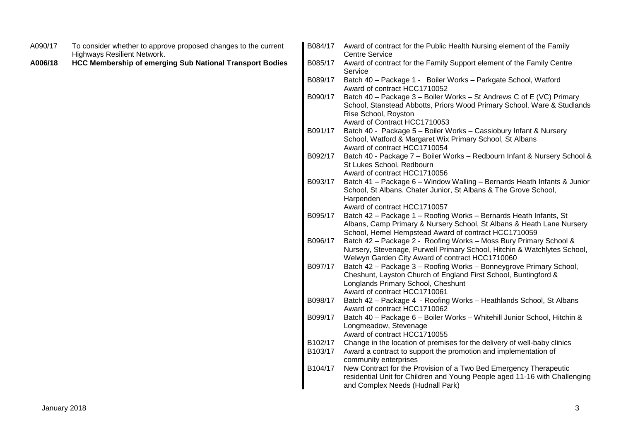| A090/17 | To consider whether to approve proposed changes to the current<br><b>Highways Resilient Network.</b> | B084/17            | Award of contract for the Public Health Nursing element of the Family<br><b>Centre Service</b>                                                                                                              |
|---------|------------------------------------------------------------------------------------------------------|--------------------|-------------------------------------------------------------------------------------------------------------------------------------------------------------------------------------------------------------|
| A006/18 | <b>HCC Membership of emerging Sub National Transport Bodies</b>                                      | B085/17            | Award of contract for the Family Support element of the Family Centre<br>Service                                                                                                                            |
|         |                                                                                                      | B089/17            | Batch 40 - Package 1 - Boiler Works - Parkgate School, Watford<br>Award of contract HCC1710052                                                                                                              |
|         |                                                                                                      | B090/17            | Batch 40 - Package 3 - Boiler Works - St Andrews C of E (VC) Primary<br>School, Stanstead Abbotts, Priors Wood Primary School, Ware & Studlands<br>Rise School, Royston<br>Award of Contract HCC1710053     |
|         |                                                                                                      | B091/17            | Batch 40 - Package 5 - Boiler Works - Cassiobury Infant & Nursery<br>School, Watford & Margaret Wix Primary School, St Albans<br>Award of contract HCC1710054                                               |
|         |                                                                                                      | B092/17            | Batch 40 - Package 7 - Boiler Works - Redbourn Infant & Nursery School &<br>St Lukes School, Redbourn<br>Award of contract HCC1710056                                                                       |
|         |                                                                                                      | B093/17            | Batch 41 - Package 6 - Window Walling - Bernards Heath Infants & Junior<br>School, St Albans. Chater Junior, St Albans & The Grove School,<br>Harpenden<br>Award of contract HCC1710057                     |
|         |                                                                                                      | B095/17            | Batch 42 - Package 1 - Roofing Works - Bernards Heath Infants, St<br>Albans, Camp Primary & Nursery School, St Albans & Heath Lane Nursery<br>School, Hemel Hempstead Award of contract HCC1710059          |
|         |                                                                                                      | B096/17            | Batch 42 - Package 2 - Roofing Works - Moss Bury Primary School &<br>Nursery, Stevenage, Purwell Primary School, Hitchin & Watchlytes School,<br>Welwyn Garden City Award of contract HCC1710060            |
|         |                                                                                                      | B097/17            | Batch 42 - Package 3 - Roofing Works - Bonneygrove Primary School,<br>Cheshunt, Layston Church of England First School, Buntingford &<br>Longlands Primary School, Cheshunt<br>Award of contract HCC1710061 |
|         |                                                                                                      | B098/17            | Batch 42 - Package 4 - Roofing Works - Heathlands School, St Albans<br>Award of contract HCC1710062                                                                                                         |
|         |                                                                                                      | B099/17            | Batch 40 - Package 6 - Boiler Works - Whitehill Junior School, Hitchin &<br>Longmeadow, Stevenage<br>Award of contract HCC1710055                                                                           |
|         |                                                                                                      | B102/17<br>B103/17 | Change in the location of premises for the delivery of well-baby clinics<br>Award a contract to support the promotion and implementation of<br>community enterprises                                        |
|         |                                                                                                      | B104/17            | New Contract for the Provision of a Two Bed Emergency Therapeutic<br>residential Unit for Children and Young People aged 11-16 with Challenging<br>and Complex Needs (Hudnall Park)                         |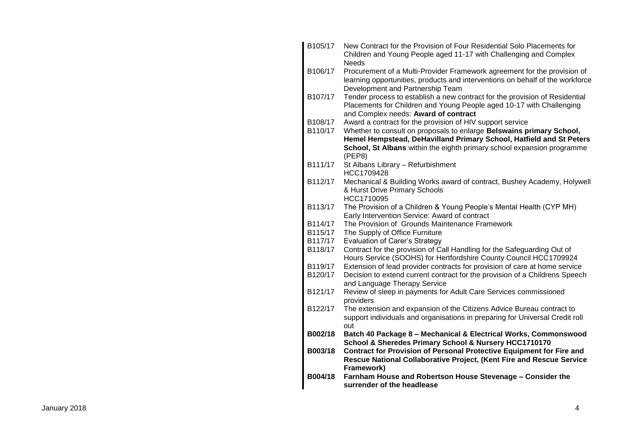| B105/17 | New Contract for the Provision of Four Residential Solo Placements for<br>Children and Young People aged 11-17 with Challenging and Complex                                                                   |
|---------|---------------------------------------------------------------------------------------------------------------------------------------------------------------------------------------------------------------|
| B106/17 | <b>Needs</b><br>Procurement of a Multi-Provider Framework agreement for the provision of<br>learning opportunities, products and interventions on behalf of the workforce<br>Development and Partnership Team |
| B107/17 | Tender process to establish a new contract for the provision of Residential<br>Placements for Children and Young People aged 10-17 with Challenging<br>and Complex needs: Award of contract                   |
| B108/17 | Award a contract for the provision of HIV support service                                                                                                                                                     |
| B110/17 | Whether to consult on proposals to enlarge Belswains primary School,                                                                                                                                          |
|         | Hemel Hempstead, DeHavilland Primary School, Hatfield and St Peters                                                                                                                                           |
|         | School, St Albans within the eighth primary school expansion programme<br>(PEP8)                                                                                                                              |
| B111/17 | St Albans Library - Refurbishment                                                                                                                                                                             |
|         | HCC1709428                                                                                                                                                                                                    |
| B112/17 | Mechanical & Building Works award of contract, Bushey Academy, Holywell                                                                                                                                       |
|         | & Hurst Drive Primary Schools                                                                                                                                                                                 |
|         | HCC1710095                                                                                                                                                                                                    |
| B113/17 | The Provision of a Children & Young People's Mental Health (CYP MH)<br>Early Intervention Service: Award of contract                                                                                          |
| B114/17 | The Provision of Grounds Maintenance Framework                                                                                                                                                                |
| B115/17 | The Supply of Office Furniture                                                                                                                                                                                |
| B117/17 | <b>Evaluation of Carer's Strategy</b>                                                                                                                                                                         |
| B118/17 | Contract for the provision of Call Handling for the Safeguarding Out of<br>Hours Service (SOOHS) for Hertfordshire County Council HCC1709924                                                                  |
| B119/17 | Extension of lead provider contracts for provision of care at home service                                                                                                                                    |
| B120/17 | Decision to extend current contract for the provision of a Childrens Speech                                                                                                                                   |
|         | and Language Therapy Service                                                                                                                                                                                  |
| B121/17 | Review of sleep in payments for Adult Care Services commissioned                                                                                                                                              |
|         | providers                                                                                                                                                                                                     |
| B122/17 | The extension and expansion of the Citizens Advice Bureau contract to<br>support individuals and organisations in preparing for Universal Credit roll                                                         |
|         | out                                                                                                                                                                                                           |
| B002/18 | Batch 40 Package 8 - Mechanical & Electrical Works, Commonswood                                                                                                                                               |
|         | School & Sheredes Primary School & Nursery HCC1710170                                                                                                                                                         |
| B003/18 | <b>Contract for Provision of Personal Protective Equipment for Fire and</b>                                                                                                                                   |
|         | Rescue National Collaborative Project, (Kent Fire and Rescue Service<br>Framework)                                                                                                                            |
| B004/18 | Farnham House and Robertson House Stevenage - Consider the<br>surrender of the headlease                                                                                                                      |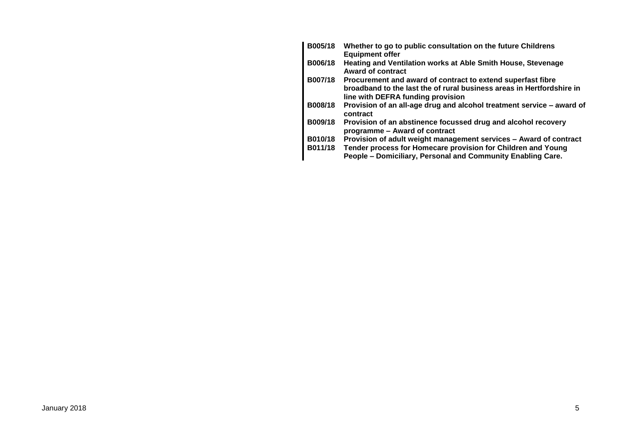| <b>B005/18</b> | Whether to go to public consultation on the future Childrens<br><b>Equipment offer</b>                                                                                    |
|----------------|---------------------------------------------------------------------------------------------------------------------------------------------------------------------------|
| B006/18        | Heating and Ventilation works at Able Smith House, Stevenage<br><b>Award of contract</b>                                                                                  |
| B007/18        | Procurement and award of contract to extend superfast fibre<br>broadband to the last the of rural business areas in Hertfordshire in<br>line with DEFRA funding provision |
| B008/18        | Provision of an all-age drug and alcohol treatment service - award of<br>contract                                                                                         |
| B009/18        | Provision of an abstinence focussed drug and alcohol recovery<br>programme - Award of contract                                                                            |
| B010/18        | Provision of adult weight management services - Award of contract                                                                                                         |
| B011/18        | Tender process for Homecare provision for Children and Young<br>People - Domiciliary, Personal and Community Enabling Care.                                               |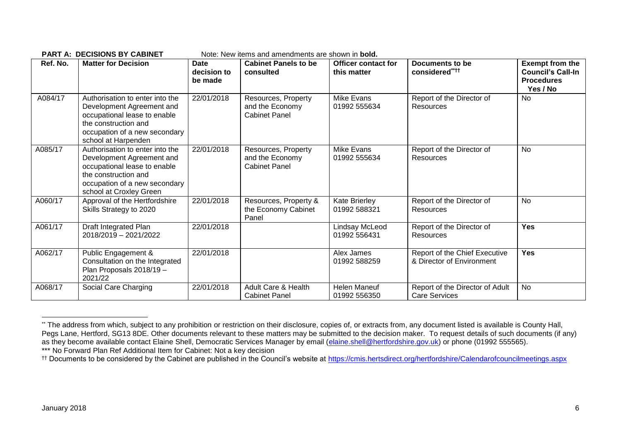| Ref. No. | <b>Matter for Decision</b>                                                                                                                                                       | <b>Date</b><br>decision to<br>be made | <b>Cabinet Panels to be</b><br>consulted                       | <b>Officer contact for</b><br>this matter | Documents to be<br>considered****                          | <b>Exempt from the</b><br><b>Council's Call-In</b><br><b>Procedures</b><br>Yes / No |
|----------|----------------------------------------------------------------------------------------------------------------------------------------------------------------------------------|---------------------------------------|----------------------------------------------------------------|-------------------------------------------|------------------------------------------------------------|-------------------------------------------------------------------------------------|
| A084/17  | Authorisation to enter into the<br>Development Agreement and<br>occupational lease to enable<br>the construction and<br>occupation of a new secondary<br>school at Harpenden     | 22/01/2018                            | Resources, Property<br>and the Economy<br><b>Cabinet Panel</b> | Mike Evans<br>01992 555634                | Report of the Director of<br>Resources                     | No                                                                                  |
| A085/17  | Authorisation to enter into the<br>Development Agreement and<br>occupational lease to enable<br>the construction and<br>occupation of a new secondary<br>school at Croxley Green | 22/01/2018                            | Resources, Property<br>and the Economy<br><b>Cabinet Panel</b> | <b>Mike Evans</b><br>01992 555634         | Report of the Director of<br><b>Resources</b>              | <b>No</b>                                                                           |
| A060/17  | Approval of the Hertfordshire<br>Skills Strategy to 2020                                                                                                                         | 22/01/2018                            | Resources, Property &<br>the Economy Cabinet<br>Panel          | <b>Kate Brierley</b><br>01992 588321      | Report of the Director of<br>Resources                     | <b>No</b>                                                                           |
| A061/17  | Draft Integrated Plan<br>2018/2019 - 2021/2022                                                                                                                                   | 22/01/2018                            |                                                                | Lindsay McLeod<br>01992 556431            | Report of the Director of<br><b>Resources</b>              | <b>Yes</b>                                                                          |
| A062/17  | Public Engagement &<br>Consultation on the Integrated<br>Plan Proposals 2018/19 -<br>2021/22                                                                                     | 22/01/2018                            |                                                                | Alex James<br>01992 588259                | Report of the Chief Executive<br>& Director of Environment | <b>Yes</b>                                                                          |
| A068/17  | Social Care Charging                                                                                                                                                             | 22/01/2018                            | Adult Care & Health<br><b>Cabinet Panel</b>                    | <b>Helen Maneuf</b><br>01992 556350       | Report of the Director of Adult<br>Care Services           | <b>No</b>                                                                           |

#### **PART A: DECISIONS BY CARINET** Note: New items and amendments are shown in **bold**

1

<sup>\*\*</sup> The address from which, subject to any prohibition or restriction on their disclosure, copies of, or extracts from, any document listed is available is County Hall, Pegs Lane, Hertford, SG13 8DE. Other documents relevant to these matters may be submitted to the decision maker. To request details of such documents (if any) as they become available contact Elaine Shell, Democratic Services Manager by email [\(elaine.shell@hertfordshire.gov.uk\)](mailto:elaine.shell@hertfordshire.gov.uk) or phone (01992 555565). \*\*\* No Forward Plan Ref Additional Item for Cabinet: Not a key decision

<sup>&</sup>lt;sup>††</sup> Documents to be considered by the Cabinet are published in the Council's website at<https://cmis.hertsdirect.org/hertfordshire/Calendarofcouncilmeetings.aspx>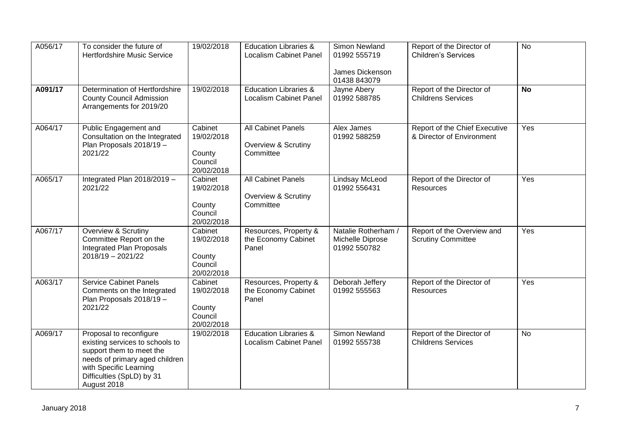| A056/17 | To consider the future of<br><b>Hertfordshire Music Service</b>                                                                                                                                | 19/02/2018                                               | <b>Education Libraries &amp;</b><br><b>Localism Cabinet Panel</b> | Simon Newland<br>01992 555719<br>James Dickenson<br>01438 843079 | Report of the Director of<br><b>Children's Services</b>    | <b>No</b> |
|---------|------------------------------------------------------------------------------------------------------------------------------------------------------------------------------------------------|----------------------------------------------------------|-------------------------------------------------------------------|------------------------------------------------------------------|------------------------------------------------------------|-----------|
| A091/17 | Determination of Hertfordshire<br><b>County Council Admission</b><br>Arrangements for 2019/20                                                                                                  | 19/02/2018                                               | <b>Education Libraries &amp;</b><br><b>Localism Cabinet Panel</b> | Jayne Abery<br>01992 588785                                      | Report of the Director of<br><b>Childrens Services</b>     | <b>No</b> |
| A064/17 | Public Engagement and<br>Consultation on the Integrated<br>Plan Proposals 2018/19 -<br>2021/22                                                                                                 | Cabinet<br>19/02/2018<br>County<br>Council<br>20/02/2018 | All Cabinet Panels<br>Overview & Scrutiny<br>Committee            | Alex James<br>01992 588259                                       | Report of the Chief Executive<br>& Director of Environment | Yes       |
| A065/17 | Integrated Plan 2018/2019 -<br>2021/22                                                                                                                                                         | Cabinet<br>19/02/2018<br>County<br>Council<br>20/02/2018 | All Cabinet Panels<br>Overview & Scrutiny<br>Committee            | Lindsay McLeod<br>01992 556431                                   | Report of the Director of<br>Resources                     | Yes       |
| A067/17 | Overview & Scrutiny<br>Committee Report on the<br><b>Integrated Plan Proposals</b><br>2018/19 - 2021/22                                                                                        | Cabinet<br>19/02/2018<br>County<br>Council<br>20/02/2018 | Resources, Property &<br>the Economy Cabinet<br>Panel             | Natalie Rotherham /<br>Michelle Diprose<br>01992 550782          | Report of the Overview and<br><b>Scrutiny Committee</b>    | Yes       |
| A063/17 | <b>Service Cabinet Panels</b><br>Comments on the Integrated<br>Plan Proposals 2018/19 -<br>2021/22                                                                                             | Cabinet<br>19/02/2018<br>County<br>Council<br>20/02/2018 | Resources, Property &<br>the Economy Cabinet<br>Panel             | Deborah Jeffery<br>01992 555563                                  | Report of the Director of<br>Resources                     | Yes       |
| A069/17 | Proposal to reconfigure<br>existing services to schools to<br>support them to meet the<br>needs of primary aged children<br>with Specific Learning<br>Difficulties (SpLD) by 31<br>August 2018 | 19/02/2018                                               | <b>Education Libraries &amp;</b><br><b>Localism Cabinet Panel</b> | <b>Simon Newland</b><br>01992 555738                             | Report of the Director of<br><b>Childrens Services</b>     | <b>No</b> |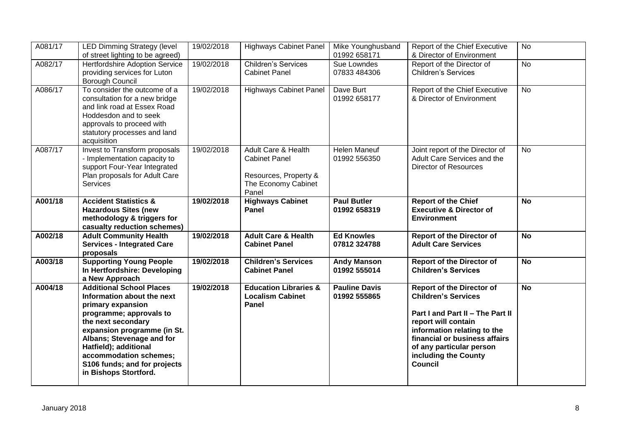| A081/17 | <b>LED Dimming Strategy (level</b><br>of street lighting to be agreed)                                                                                                                                                                                                                                      | 19/02/2018 | <b>Highways Cabinet Panel</b>                                                                                   | Mike Younghusband<br>01992 658171    | Report of the Chief Executive<br>& Director of Environment                                                                                                                                                                                                      | No        |
|---------|-------------------------------------------------------------------------------------------------------------------------------------------------------------------------------------------------------------------------------------------------------------------------------------------------------------|------------|-----------------------------------------------------------------------------------------------------------------|--------------------------------------|-----------------------------------------------------------------------------------------------------------------------------------------------------------------------------------------------------------------------------------------------------------------|-----------|
| A082/17 | <b>Hertfordshire Adoption Service</b><br>providing services for Luton<br>Borough Council                                                                                                                                                                                                                    | 19/02/2018 | <b>Children's Services</b><br><b>Cabinet Panel</b>                                                              | Sue Lowndes<br>07833 484306          | Report of the Director of<br><b>Children's Services</b>                                                                                                                                                                                                         | <b>No</b> |
| A086/17 | To consider the outcome of a<br>consultation for a new bridge<br>and link road at Essex Road<br>Hoddesdon and to seek<br>approvals to proceed with<br>statutory processes and land<br>acquisition                                                                                                           | 19/02/2018 | <b>Highways Cabinet Panel</b>                                                                                   | Dave Burt<br>01992 658177            | Report of the Chief Executive<br>& Director of Environment                                                                                                                                                                                                      | <b>No</b> |
| A087/17 | Invest to Transform proposals<br>- Implementation capacity to<br>support Four-Year Integrated<br>Plan proposals for Adult Care<br>Services                                                                                                                                                                  | 19/02/2018 | <b>Adult Care &amp; Health</b><br><b>Cabinet Panel</b><br>Resources, Property &<br>The Economy Cabinet<br>Panel | <b>Helen Maneuf</b><br>01992 556350  | Joint report of the Director of<br>Adult Care Services and the<br><b>Director of Resources</b>                                                                                                                                                                  | <b>No</b> |
| A001/18 | <b>Accident Statistics &amp;</b><br><b>Hazardous Sites (new</b><br>methodology & triggers for<br>casualty reduction schemes)                                                                                                                                                                                | 19/02/2018 | <b>Highways Cabinet</b><br>Panel                                                                                | <b>Paul Butler</b><br>01992 658319   | <b>Report of the Chief</b><br><b>Executive &amp; Director of</b><br><b>Environment</b>                                                                                                                                                                          | <b>No</b> |
| A002/18 | <b>Adult Community Health</b><br><b>Services - Integrated Care</b><br>proposals                                                                                                                                                                                                                             | 19/02/2018 | <b>Adult Care &amp; Health</b><br><b>Cabinet Panel</b>                                                          | <b>Ed Knowles</b><br>07812 324788    | <b>Report of the Director of</b><br><b>Adult Care Services</b>                                                                                                                                                                                                  | <b>No</b> |
| A003/18 | <b>Supporting Young People</b><br>In Hertfordshire: Developing<br>a New Approach                                                                                                                                                                                                                            | 19/02/2018 | <b>Children's Services</b><br><b>Cabinet Panel</b>                                                              | <b>Andy Manson</b><br>01992 555014   | <b>Report of the Director of</b><br><b>Children's Services</b>                                                                                                                                                                                                  | <b>No</b> |
| A004/18 | <b>Additional School Places</b><br>Information about the next<br>primary expansion<br>programme; approvals to<br>the next secondary<br>expansion programme (in St.<br>Albans; Stevenage and for<br>Hatfield); additional<br>accommodation schemes;<br>S106 funds; and for projects<br>in Bishops Stortford. | 19/02/2018 | <b>Education Libraries &amp;</b><br><b>Localism Cabinet</b><br>Panel                                            | <b>Pauline Davis</b><br>01992 555865 | <b>Report of the Director of</b><br><b>Children's Services</b><br>Part I and Part II - The Part II<br>report will contain<br>information relating to the<br>financial or business affairs<br>of any particular person<br>including the County<br><b>Council</b> | <b>No</b> |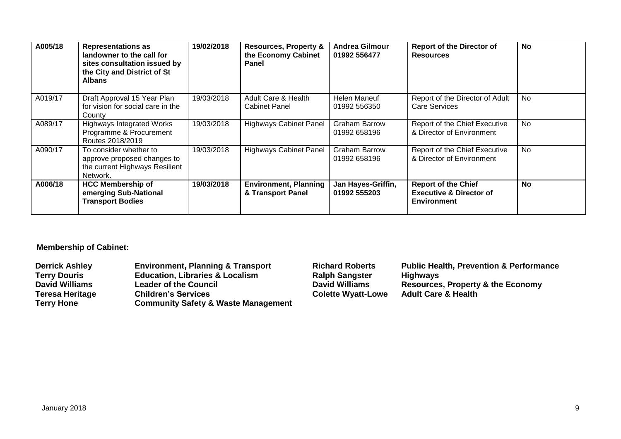| A005/18 | <b>Representations as</b><br>landowner to the call for<br>sites consultation issued by<br>the City and District of St<br><b>Albans</b> | 19/02/2018 | <b>Resources, Property &amp;</b><br>the Economy Cabinet<br>Panel | <b>Andrea Gilmour</b><br>01992 556477 | <b>Report of the Director of</b><br><b>Resources</b>                                   | No        |
|---------|----------------------------------------------------------------------------------------------------------------------------------------|------------|------------------------------------------------------------------|---------------------------------------|----------------------------------------------------------------------------------------|-----------|
| A019/17 | Draft Approval 15 Year Plan<br>for vision for social care in the<br>County                                                             | 19/03/2018 | Adult Care & Health<br><b>Cabinet Panel</b>                      | Helen Maneuf<br>01992 556350          | Report of the Director of Adult<br><b>Care Services</b>                                | <b>No</b> |
| A089/17 | <b>Highways Integrated Works</b><br>Programme & Procurement<br>Routes 2018/2019                                                        | 19/03/2018 | <b>Highways Cabinet Panel</b>                                    | <b>Graham Barrow</b><br>01992 658196  | Report of the Chief Executive<br>& Director of Environment                             | <b>No</b> |
| A090/17 | To consider whether to<br>approve proposed changes to<br>the current Highways Resilient<br>Network.                                    | 19/03/2018 | <b>Highways Cabinet Panel</b>                                    | <b>Graham Barrow</b><br>01992 658196  | Report of the Chief Executive<br>& Director of Environment                             | <b>No</b> |
| A006/18 | <b>HCC Membership of</b><br>emerging Sub-National<br><b>Transport Bodies</b>                                                           | 19/03/2018 | <b>Environment, Planning</b><br>& Transport Panel                | Jan Hayes-Griffin,<br>01992 555203    | <b>Report of the Chief</b><br><b>Executive &amp; Director of</b><br><b>Environment</b> | <b>No</b> |

## **Membership of Cabinet:**

| <b>Derrick Ashley</b>  | <b>Environment, Planning &amp; Transport</b>   | <b>Richard Roberts</b>    | <b>Public Health, Prevention &amp; Performance</b> |
|------------------------|------------------------------------------------|---------------------------|----------------------------------------------------|
| <b>Terry Douris</b>    | <b>Education, Libraries &amp; Localism</b>     | <b>Ralph Sangster</b>     | <b>Highways</b>                                    |
| <b>David Williams</b>  | <b>Leader of the Council</b>                   | <b>David Williams</b>     | <b>Resources, Property &amp; the Economy</b>       |
| <b>Teresa Heritage</b> | <b>Children's Services</b>                     | <b>Colette Wyatt-Lowe</b> | <b>Adult Care &amp; Health</b>                     |
| <b>Terry Hone</b>      | <b>Community Safety &amp; Waste Management</b> |                           |                                                    |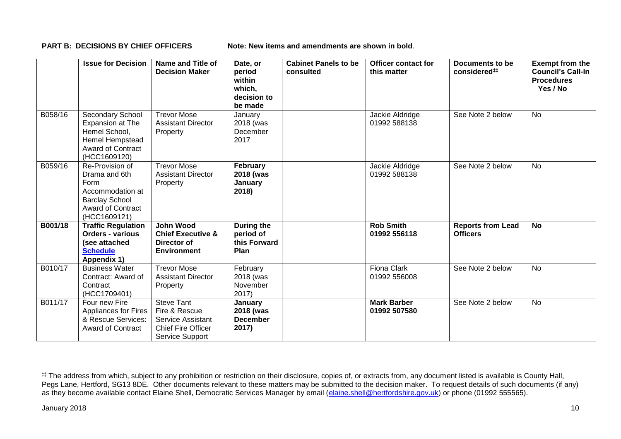**PART B: DECISIONS BY CHIEF OFFICERS Note: New items and amendments are shown in bold.** 

|         | <b>Issue for Decision</b>                                                                                                         | Name and Title of<br><b>Decision Maker</b>                                                              | Date, or<br>period<br>within<br>which,<br>decision to<br>be made | <b>Cabinet Panels to be</b><br>consulted | <b>Officer contact for</b><br>this matter | Documents to be<br>considered##             | <b>Exempt from the</b><br><b>Council's Call-In</b><br><b>Procedures</b><br>Yes / No |
|---------|-----------------------------------------------------------------------------------------------------------------------------------|---------------------------------------------------------------------------------------------------------|------------------------------------------------------------------|------------------------------------------|-------------------------------------------|---------------------------------------------|-------------------------------------------------------------------------------------|
| B058/16 | Secondary School<br>Expansion at The<br>Hemel School,<br>Hemel Hempstead<br><b>Award of Contract</b><br>(HCC1609120)              | <b>Trevor Mose</b><br><b>Assistant Director</b><br>Property                                             | January<br>2018 (was<br>December<br>2017                         |                                          | Jackie Aldridge<br>01992 588138           | See Note 2 below                            | <b>No</b>                                                                           |
| B059/16 | Re-Provision of<br>Drama and 6th<br>Form<br>Accommodation at<br><b>Barclay School</b><br><b>Award of Contract</b><br>(HCC1609121) | <b>Trevor Mose</b><br><b>Assistant Director</b><br>Property                                             | February<br>2018 (was<br>January<br>2018)                        |                                          | Jackie Aldridge<br>01992 588138           | See Note 2 below                            | <b>No</b>                                                                           |
| B001/18 | <b>Traffic Regulation</b><br><b>Orders - various</b><br>(see attached<br><b>Schedule</b><br>Appendix 1)                           | John Wood<br><b>Chief Executive &amp;</b><br>Director of<br><b>Environment</b>                          | During the<br>period of<br>this Forward<br>Plan                  |                                          | <b>Rob Smith</b><br>01992 556118          | <b>Reports from Lead</b><br><b>Officers</b> | <b>No</b>                                                                           |
| B010/17 | <b>Business Water</b><br>Contract: Award of<br>Contract<br>(HCC1709401)                                                           | <b>Trevor Mose</b><br><b>Assistant Director</b><br>Property                                             | February<br>2018 (was<br>November<br>$2017$ )                    |                                          | <b>Fiona Clark</b><br>01992 556008        | See Note 2 below                            | <b>No</b>                                                                           |
| B011/17 | Four new Fire<br>Appliances for Fires<br>& Rescue Services:<br><b>Award of Contract</b>                                           | <b>Steve Tant</b><br>Fire & Rescue<br>Service Assistant<br><b>Chief Fire Officer</b><br>Service Support | January<br>2018 (was<br><b>December</b><br>2017)                 |                                          | <b>Mark Barber</b><br>01992 507580        | See Note 2 below                            | <b>No</b>                                                                           |

1

<sup>&</sup>lt;sup>##</sup> The address from which, subject to any prohibition or restriction on their disclosure, copies of, or extracts from, any document listed is available is County Hall, Pegs Lane, Hertford, SG13 8DE. Other documents relevant to these matters may be submitted to the decision maker. To request details of such documents (if any) as they become available contact Elaine Shell, Democratic Services Manager by email [\(elaine.shell@hertfordshire.gov.uk\)](mailto:elaine.shell@hertfordshire.gov.uk) or phone (01992 55565).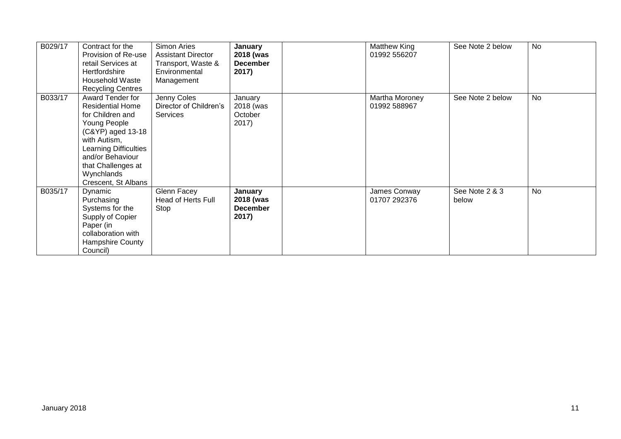| B029/17 | Contract for the<br>Provision of Re-use<br>retail Services at<br>Hertfordshire<br>Household Waste<br><b>Recycling Centres</b>                                                                                                       | Simon Aries<br><b>Assistant Director</b><br>Transport, Waste &<br>Environmental<br>Management | January<br>2018 (was<br><b>December</b><br>2017) | Matthew King<br>01992 556207   | See Note 2 below        | No |
|---------|-------------------------------------------------------------------------------------------------------------------------------------------------------------------------------------------------------------------------------------|-----------------------------------------------------------------------------------------------|--------------------------------------------------|--------------------------------|-------------------------|----|
| B033/17 | Award Tender for<br><b>Residential Home</b><br>for Children and<br>Young People<br>(C&YP) aged 13-18<br>with Autism,<br><b>Learning Difficulties</b><br>and/or Behaviour<br>that Challenges at<br>Wynchlands<br>Crescent, St Albans | Jenny Coles<br>Director of Children's<br><b>Services</b>                                      | January<br>2018 (was<br>October<br>2017)         | Martha Moroney<br>01992 588967 | See Note 2 below        | No |
| B035/17 | Dynamic<br>Purchasing<br>Systems for the<br>Supply of Copier<br>Paper (in<br>collaboration with<br><b>Hampshire County</b><br>Council)                                                                                              | Glenn Facey<br>Head of Herts Full<br>Stop                                                     | January<br>2018 (was<br><b>December</b><br>2017) | James Conway<br>01707 292376   | See Note 2 & 3<br>below | No |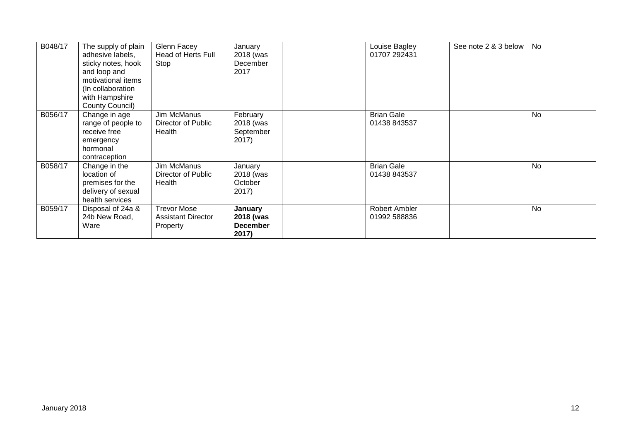| B048/17 | The supply of plain<br>adhesive labels,<br>sticky notes, hook<br>and loop and<br>motivational items<br>(In collaboration<br>with Hampshire<br>County Council) | Glenn Facey<br>Head of Herts Full<br>Stop                   | January<br>2018 (was<br>December<br>2017         | Louise Bagley<br>01707 292431     | See note 2 & 3 below | <b>No</b> |
|---------|---------------------------------------------------------------------------------------------------------------------------------------------------------------|-------------------------------------------------------------|--------------------------------------------------|-----------------------------------|----------------------|-----------|
| B056/17 | Change in age<br>range of people to<br>receive free<br>emergency<br>hormonal<br>contraception                                                                 | Jim McManus<br>Director of Public<br>Health                 | February<br>2018 (was<br>September<br>2017)      | <b>Brian Gale</b><br>01438 843537 |                      | No        |
| B058/17 | Change in the<br>location of<br>premises for the<br>delivery of sexual<br>health services                                                                     | Jim McManus<br>Director of Public<br>Health                 | January<br>2018 (was<br>October<br>2017)         | <b>Brian Gale</b><br>01438 843537 |                      | No        |
| B059/17 | Disposal of 24a &<br>24b New Road,<br>Ware                                                                                                                    | <b>Trevor Mose</b><br><b>Assistant Director</b><br>Property | January<br>2018 (was<br><b>December</b><br>2017) | Robert Ambler<br>01992 588836     |                      | <b>No</b> |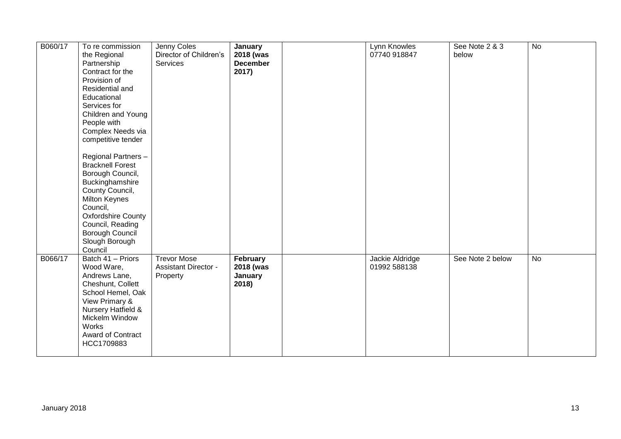| B060/17 | To re commission                              | Jenny Coles                 |                 | Lynn Knowles    | See Note 2 & 3   | $\overline{N}$ |
|---------|-----------------------------------------------|-----------------------------|-----------------|-----------------|------------------|----------------|
|         |                                               |                             | <b>January</b>  |                 |                  |                |
|         | the Regional                                  | Director of Children's      | 2018 (was       | 07740 918847    | below            |                |
|         | Partnership                                   | Services                    | <b>December</b> |                 |                  |                |
|         | Contract for the                              |                             | 2017)           |                 |                  |                |
|         | Provision of                                  |                             |                 |                 |                  |                |
|         | Residential and                               |                             |                 |                 |                  |                |
|         | Educational                                   |                             |                 |                 |                  |                |
|         | Services for                                  |                             |                 |                 |                  |                |
|         | Children and Young                            |                             |                 |                 |                  |                |
|         | People with                                   |                             |                 |                 |                  |                |
|         | Complex Needs via                             |                             |                 |                 |                  |                |
|         | competitive tender                            |                             |                 |                 |                  |                |
|         |                                               |                             |                 |                 |                  |                |
|         |                                               |                             |                 |                 |                  |                |
|         | Regional Partners-<br><b>Bracknell Forest</b> |                             |                 |                 |                  |                |
|         |                                               |                             |                 |                 |                  |                |
|         | Borough Council,                              |                             |                 |                 |                  |                |
|         | Buckinghamshire                               |                             |                 |                 |                  |                |
|         | County Council,                               |                             |                 |                 |                  |                |
|         | Milton Keynes                                 |                             |                 |                 |                  |                |
|         | Council,                                      |                             |                 |                 |                  |                |
|         | <b>Oxfordshire County</b>                     |                             |                 |                 |                  |                |
|         | Council, Reading                              |                             |                 |                 |                  |                |
|         | <b>Borough Council</b>                        |                             |                 |                 |                  |                |
|         | Slough Borough                                |                             |                 |                 |                  |                |
|         | Council                                       |                             |                 |                 |                  |                |
| B066/17 | Batch 41 - Priors                             | <b>Trevor Mose</b>          | February        | Jackie Aldridge | See Note 2 below | <b>No</b>      |
|         | Wood Ware,                                    | <b>Assistant Director -</b> | 2018 (was       | 01992 588138    |                  |                |
|         | Andrews Lane,                                 | Property                    | January         |                 |                  |                |
|         | Cheshunt, Collett                             |                             | 2018)           |                 |                  |                |
|         | School Hemel, Oak                             |                             |                 |                 |                  |                |
|         | View Primary &                                |                             |                 |                 |                  |                |
|         |                                               |                             |                 |                 |                  |                |
|         | Nursery Hatfield &                            |                             |                 |                 |                  |                |
|         | Mickelm Window                                |                             |                 |                 |                  |                |
|         | <b>Works</b>                                  |                             |                 |                 |                  |                |
|         | Award of Contract                             |                             |                 |                 |                  |                |
|         | HCC1709883                                    |                             |                 |                 |                  |                |
|         |                                               |                             |                 |                 |                  |                |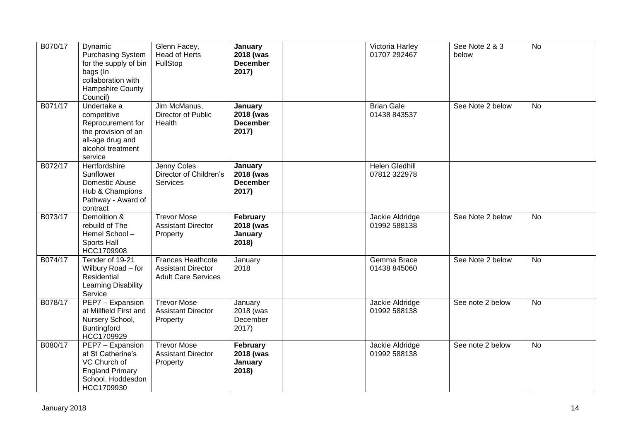| B070/17 | Dynamic<br><b>Purchasing System</b><br>for the supply of bin<br>bags (In<br>collaboration with<br><b>Hampshire County</b><br>Council) | Glenn Facey,<br><b>Head of Herts</b><br>FullStop                             | January<br>2018 (was<br><b>December</b><br>2017) | Victoria Harley<br>01707 292467       | See Note 2 & 3<br>below | $\overline{N}$ |
|---------|---------------------------------------------------------------------------------------------------------------------------------------|------------------------------------------------------------------------------|--------------------------------------------------|---------------------------------------|-------------------------|----------------|
| B071/17 | Undertake a<br>competitive<br>Reprocurement for<br>the provision of an<br>all-age drug and<br>alcohol treatment<br>service            | Jim McManus,<br>Director of Public<br>Health                                 | January<br>2018 (was<br><b>December</b><br>2017) | <b>Brian Gale</b><br>01438 843537     | See Note 2 below        | No             |
| B072/17 | Hertfordshire<br>Sunflower<br>Domestic Abuse<br>Hub & Champions<br>Pathway - Award of<br>contract                                     | Jenny Coles<br>Director of Children's<br>Services                            | January<br>2018 (was<br><b>December</b><br>2017) | <b>Helen Gledhill</b><br>07812 322978 |                         |                |
| B073/17 | Demolition &<br>rebuild of The<br>Hemel School-<br>Sports Hall<br>HCC1709908                                                          | <b>Trevor Mose</b><br><b>Assistant Director</b><br>Property                  | February<br>2018 (was<br>January<br>2018)        | Jackie Aldridge<br>01992 588138       | See Note 2 below        | <b>No</b>      |
| B074/17 | Tender of 19-21<br>Wilbury Road - for<br>Residential<br>Learning Disability<br>Service                                                | Frances Heathcote<br><b>Assistant Director</b><br><b>Adult Care Services</b> | January<br>2018                                  | Gemma Brace<br>01438 845060           | See Note 2 below        | <b>No</b>      |
| B078/17 | PEP7 - Expansion<br>at Millfield First and<br>Nursery School,<br>Buntingford<br>HCC1709929                                            | <b>Trevor Mose</b><br><b>Assistant Director</b><br>Property                  | January<br>2018 (was<br>December<br>2017)        | Jackie Aldridge<br>01992 588138       | See note 2 below        | <b>No</b>      |
| B080/17 | PEP7 - Expansion<br>at St Catherine's<br>VC Church of<br><b>England Primary</b><br>School, Hoddesdon<br>HCC1709930                    | <b>Trevor Mose</b><br><b>Assistant Director</b><br>Property                  | February<br>2018 (was<br>January<br>2018)        | Jackie Aldridge<br>01992 588138       | See note 2 below        | <b>No</b>      |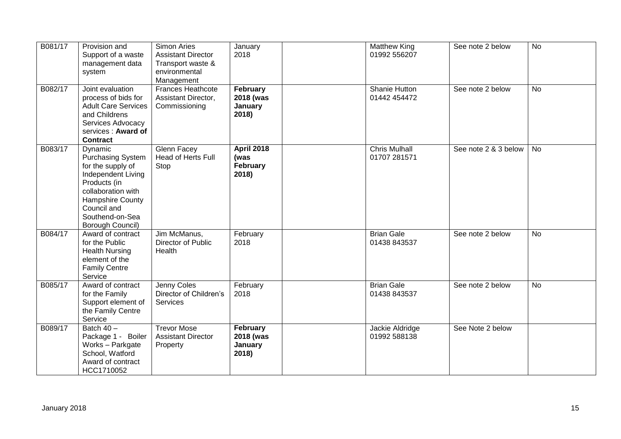| B081/17 | Provision and<br>Support of a waste<br>management data<br>system                                                                                                                        | Simon Aries<br><b>Assistant Director</b><br>Transport waste &<br>environmental<br>Management | January<br>2018                                | <b>Matthew King</b><br>01992 556207  | See note 2 below     | No        |
|---------|-----------------------------------------------------------------------------------------------------------------------------------------------------------------------------------------|----------------------------------------------------------------------------------------------|------------------------------------------------|--------------------------------------|----------------------|-----------|
| B082/17 | Joint evaluation<br>process of bids for<br><b>Adult Care Services</b><br>and Childrens<br>Services Advocacy<br>services: Award of<br><b>Contract</b>                                    | <b>Frances Heathcote</b><br>Assistant Director,<br>Commissioning                             | February<br>2018 (was<br>January<br>2018)      | Shanie Hutton<br>01442 454472        | See note 2 below     | No        |
| B083/17 | Dynamic<br>Purchasing System<br>for the supply of<br>Independent Living<br>Products (in<br>collaboration with<br>Hampshire County<br>Council and<br>Southend-on-Sea<br>Borough Council) | Glenn Facey<br><b>Head of Herts Full</b><br>Stop                                             | <b>April 2018</b><br>(was<br>February<br>2018) | <b>Chris Mulhall</b><br>01707 281571 | See note 2 & 3 below | <b>No</b> |
| B084/17 | Award of contract<br>for the Public<br><b>Health Nursing</b><br>element of the<br><b>Family Centre</b><br>Service                                                                       | Jim McManus,<br>Director of Public<br>Health                                                 | February<br>2018                               | <b>Brian Gale</b><br>01438 843537    | See note 2 below     | <b>No</b> |
| B085/17 | Award of contract<br>for the Family<br>Support element of<br>the Family Centre<br>Service                                                                                               | Jenny Coles<br>Director of Children's<br><b>Services</b>                                     | February<br>2018                               | <b>Brian Gale</b><br>01438 843537    | See note 2 below     | <b>No</b> |
| B089/17 | Batch $40 -$<br>Package 1 - Boiler<br>Works - Parkgate<br>School, Watford<br>Award of contract<br>HCC1710052                                                                            | <b>Trevor Mose</b><br><b>Assistant Director</b><br>Property                                  | February<br>2018 (was<br>January<br>2018)      | Jackie Aldridge<br>01992 588138      | See Note 2 below     |           |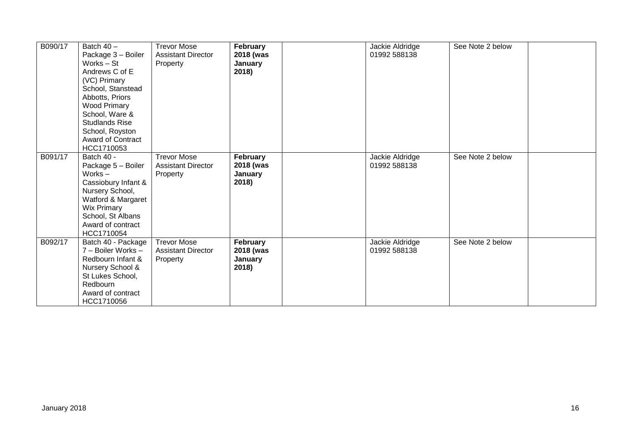| B090/17 | Batch $40 -$<br>Package 3 - Boiler<br>Works - St<br>Andrews C of E<br>(VC) Primary<br>School, Stanstead<br>Abbotts, Priors<br><b>Wood Primary</b><br>School, Ware &<br><b>Studlands Rise</b><br>School, Royston<br><b>Award of Contract</b><br>HCC1710053 | <b>Trevor Mose</b><br><b>Assistant Director</b><br>Property | February<br>2018 (was<br>January<br>2018) | Jackie Aldridge<br>01992 588138 | See Note 2 below |  |
|---------|-----------------------------------------------------------------------------------------------------------------------------------------------------------------------------------------------------------------------------------------------------------|-------------------------------------------------------------|-------------------------------------------|---------------------------------|------------------|--|
| B091/17 | Batch 40 -<br>Package 5 - Boiler<br>Works $-$<br>Cassiobury Infant &<br>Nursery School,<br>Watford & Margaret<br><b>Wix Primary</b><br>School, St Albans<br>Award of contract<br>HCC1710054                                                               | <b>Trevor Mose</b><br><b>Assistant Director</b><br>Property | February<br>2018 (was<br>January<br>2018) | Jackie Aldridge<br>01992 588138 | See Note 2 below |  |
| B092/17 | Batch 40 - Package<br>7 - Boiler Works -<br>Redbourn Infant &<br>Nursery School &<br>St Lukes School,<br>Redbourn<br>Award of contract<br>HCC1710056                                                                                                      | <b>Trevor Mose</b><br><b>Assistant Director</b><br>Property | February<br>2018 (was<br>January<br>2018) | Jackie Aldridge<br>01992 588138 | See Note 2 below |  |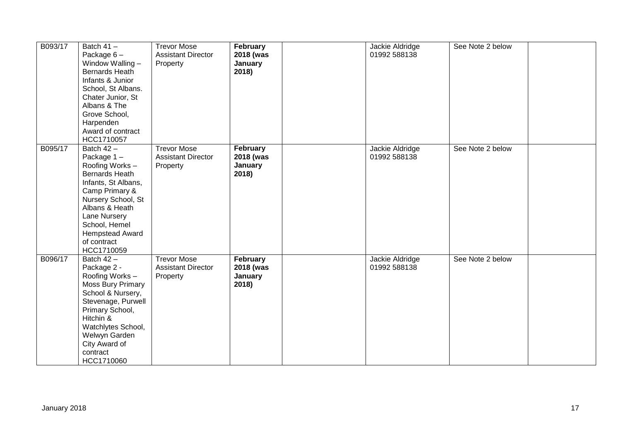| B093/17 | Batch $41 -$<br>Package $6-$<br>Window Walling -<br><b>Bernards Heath</b><br>Infants & Junior<br>School, St Albans.<br>Chater Junior, St<br>Albans & The<br>Grove School,<br>Harpenden<br>Award of contract<br>HCC1710057                | <b>Trevor Mose</b><br><b>Assistant Director</b><br>Property | February<br>2018 (was<br>January<br>2018) | Jackie Aldridge<br>01992 588138 | See Note 2 below |  |
|---------|------------------------------------------------------------------------------------------------------------------------------------------------------------------------------------------------------------------------------------------|-------------------------------------------------------------|-------------------------------------------|---------------------------------|------------------|--|
| B095/17 | Batch $42 -$<br>Package 1-<br>Roofing Works -<br><b>Bernards Heath</b><br>Infants, St Albans,<br>Camp Primary &<br>Nursery School, St<br>Albans & Heath<br>Lane Nursery<br>School, Hemel<br>Hempstead Award<br>of contract<br>HCC1710059 | <b>Trevor Mose</b><br><b>Assistant Director</b><br>Property | February<br>2018 (was<br>January<br>2018) | Jackie Aldridge<br>01992 588138 | See Note 2 below |  |
| B096/17 | Batch 42 -<br>Package 2 -<br>Roofing Works -<br><b>Moss Bury Primary</b><br>School & Nursery,<br>Stevenage, Purwell<br>Primary School,<br>Hitchin &<br>Watchlytes School,<br>Welwyn Garden<br>City Award of<br>contract<br>HCC1710060    | <b>Trevor Mose</b><br><b>Assistant Director</b><br>Property | February<br>2018 (was<br>January<br>2018) | Jackie Aldridge<br>01992 588138 | See Note 2 below |  |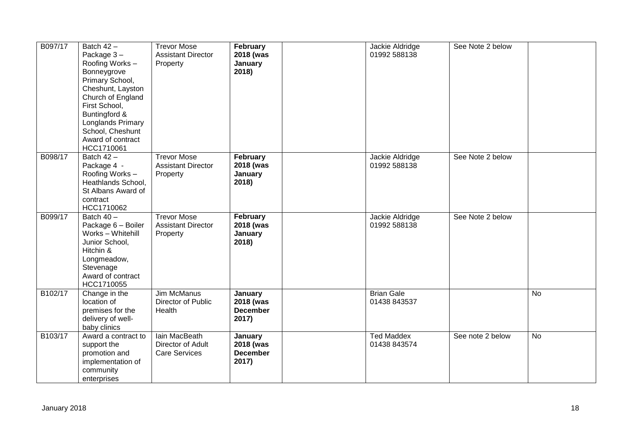| B097/17 | Batch $42 -$<br>Package 3-<br>Roofing Works -<br>Bonneygrove<br>Primary School,<br>Cheshunt, Layston<br>Church of England<br>First School,<br>Buntingford &<br>Longlands Primary<br>School, Cheshunt<br>Award of contract<br>HCC1710061 | <b>Trevor Mose</b><br><b>Assistant Director</b><br>Property | February<br>2018 (was<br>January<br>2018)        | Jackie Aldridge<br>01992 588138   | See Note 2 below |           |
|---------|-----------------------------------------------------------------------------------------------------------------------------------------------------------------------------------------------------------------------------------------|-------------------------------------------------------------|--------------------------------------------------|-----------------------------------|------------------|-----------|
| B098/17 | Batch $42 -$<br>Package 4 -<br>Roofing Works -<br>Heathlands School,<br>St Albans Award of<br>contract<br>HCC1710062                                                                                                                    | <b>Trevor Mose</b><br><b>Assistant Director</b><br>Property | February<br>2018 (was<br>January<br>2018)        | Jackie Aldridge<br>01992 588138   | See Note 2 below |           |
| B099/17 | Batch $40 -$<br>Package 6 - Boiler<br>Works - Whitehill<br>Junior School,<br>Hitchin &<br>Longmeadow,<br>Stevenage<br>Award of contract<br>HCC1710055                                                                                   | <b>Trevor Mose</b><br><b>Assistant Director</b><br>Property | February<br>2018 (was<br>January<br>2018)        | Jackie Aldridge<br>01992 588138   | See Note 2 below |           |
| B102/17 | Change in the<br>location of<br>premises for the<br>delivery of well-<br>baby clinics                                                                                                                                                   | Jim McManus<br>Director of Public<br>Health                 | January<br>2018 (was<br><b>December</b><br>2017) | <b>Brian Gale</b><br>01438 843537 |                  | No        |
| B103/17 | Award a contract to<br>support the<br>promotion and<br>implementation of<br>community<br>enterprises                                                                                                                                    | lain MacBeath<br>Director of Adult<br><b>Care Services</b>  | January<br>2018 (was<br><b>December</b><br>2017) | <b>Ted Maddex</b><br>01438 843574 | See note 2 below | <b>No</b> |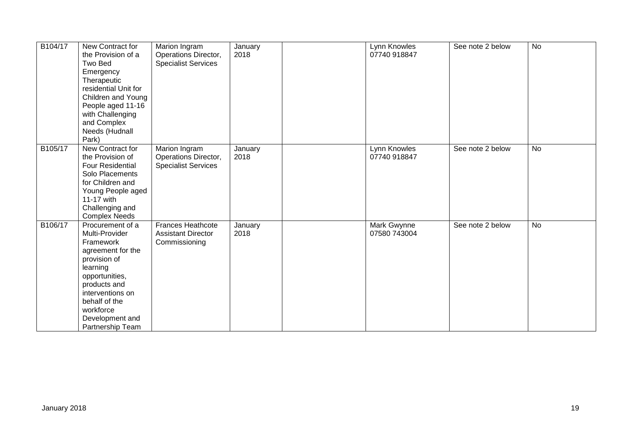| B104/17 | New Contract for<br>the Provision of a<br>Two Bed<br>Emergency<br>Therapeutic<br>residential Unit for<br>Children and Young<br>People aged 11-16<br>with Challenging<br>and Complex<br>Needs (Hudnall<br>Park)              | Marion Ingram<br>Operations Director,<br><b>Specialist Services</b> | January<br>2018 | Lynn Knowles<br>07740 918847 | See note 2 below | <b>No</b> |
|---------|-----------------------------------------------------------------------------------------------------------------------------------------------------------------------------------------------------------------------------|---------------------------------------------------------------------|-----------------|------------------------------|------------------|-----------|
| B105/17 | New Contract for<br>the Provision of<br><b>Four Residential</b><br>Solo Placements<br>for Children and<br>Young People aged<br>11-17 with<br>Challenging and<br><b>Complex Needs</b>                                        | Marion Ingram<br>Operations Director,<br><b>Specialist Services</b> | January<br>2018 | Lynn Knowles<br>07740 918847 | See note 2 below | <b>No</b> |
| B106/17 | Procurement of a<br>Multi-Provider<br>Framework<br>agreement for the<br>provision of<br>learning<br>opportunities,<br>products and<br>interventions on<br>behalf of the<br>workforce<br>Development and<br>Partnership Team | Frances Heathcote<br><b>Assistant Director</b><br>Commissioning     | January<br>2018 | Mark Gwynne<br>07580 743004  | See note 2 below | No        |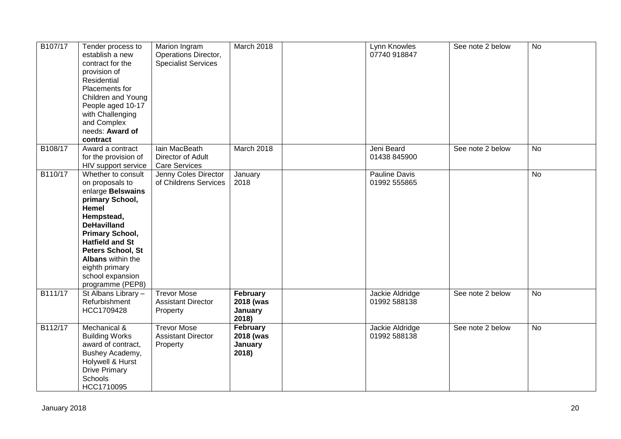| B107/17 | Tender process to<br>establish a new<br>contract for the<br>provision of<br>Residential<br>Placements for<br>Children and Young<br>People aged 10-17<br>with Challenging<br>and Complex<br>needs: Award of<br>contract                                                      | Marion Ingram<br>Operations Director,<br><b>Specialist Services</b> | March 2018                                | Lynn Knowles<br>07740 918847         | See note 2 below | <b>No</b>      |
|---------|-----------------------------------------------------------------------------------------------------------------------------------------------------------------------------------------------------------------------------------------------------------------------------|---------------------------------------------------------------------|-------------------------------------------|--------------------------------------|------------------|----------------|
| B108/17 | Award a contract<br>for the provision of<br>HIV support service                                                                                                                                                                                                             | lain MacBeath<br>Director of Adult<br>Care Services                 | March 2018                                | Jeni Beard<br>01438 845900           | See note 2 below | <b>No</b>      |
| B110/17 | Whether to consult<br>on proposals to<br>enlarge Belswains<br>primary School,<br>Hemel<br>Hempstead,<br><b>DeHavilland</b><br>Primary School,<br><b>Hatfield and St</b><br>Peters School, St<br>Albans within the<br>eighth primary<br>school expansion<br>programme (PEP8) | Jenny Coles Director<br>of Childrens Services                       | January<br>2018                           | <b>Pauline Davis</b><br>01992 555865 |                  | $\overline{N}$ |
| B111/17 | St Albans Library -<br>Refurbishment<br>HCC1709428                                                                                                                                                                                                                          | <b>Trevor Mose</b><br><b>Assistant Director</b><br>Property         | February<br>2018 (was<br>January<br>2018) | Jackie Aldridge<br>01992 588138      | See note 2 below | <b>No</b>      |
| B112/17 | Mechanical &<br><b>Building Works</b><br>award of contract,<br>Bushey Academy,<br>Holywell & Hurst<br><b>Drive Primary</b><br>Schools<br>HCC1710095                                                                                                                         | <b>Trevor Mose</b><br><b>Assistant Director</b><br>Property         | February<br>2018 (was<br>January<br>2018) | Jackie Aldridge<br>01992 588138      | See note 2 below | No             |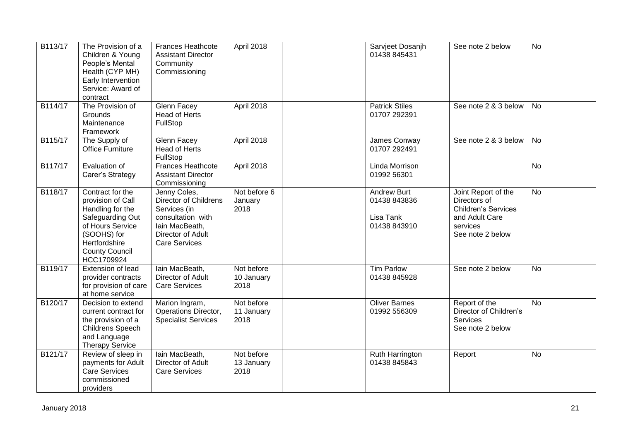| B113/17 | The Provision of a<br>Children & Young<br>People's Mental<br>Health (CYP MH)<br>Early Intervention<br>Service: Award of<br>contract                                      | <b>Frances Heathcote</b><br><b>Assistant Director</b><br>Community<br>Commissioning                                                       | April 2018                       | Sarvjeet Dosanjh<br>01438 845431                                | See note 2 below                                                                                                    | <b>No</b>      |
|---------|--------------------------------------------------------------------------------------------------------------------------------------------------------------------------|-------------------------------------------------------------------------------------------------------------------------------------------|----------------------------------|-----------------------------------------------------------------|---------------------------------------------------------------------------------------------------------------------|----------------|
| B114/17 | The Provision of<br>Grounds<br>Maintenance<br>Framework                                                                                                                  | <b>Glenn Facey</b><br><b>Head of Herts</b><br>FullStop                                                                                    | April 2018                       | <b>Patrick Stiles</b><br>01707 292391                           | See note 2 & 3 below                                                                                                | <b>No</b>      |
| B115/17 | The Supply of<br><b>Office Furniture</b>                                                                                                                                 | <b>Glenn Facey</b><br>Head of Herts<br>FullStop                                                                                           | April 2018                       | James Conway<br>01707 292491                                    | See note 2 & 3 below                                                                                                | <b>No</b>      |
| B117/17 | Evaluation of<br>Carer's Strategy                                                                                                                                        | <b>Frances Heathcote</b><br><b>Assistant Director</b><br>Commissioning                                                                    | April 2018                       | <b>Linda Morrison</b><br>01992 56301                            |                                                                                                                     | <b>No</b>      |
| B118/17 | Contract for the<br>provision of Call<br>Handling for the<br>Safeguarding Out<br>of Hours Service<br>(SOOHS) for<br>Hertfordshire<br><b>County Council</b><br>HCC1709924 | Jenny Coles,<br>Director of Childrens<br>Services (in<br>consultation with<br>lain MacBeath,<br>Director of Adult<br><b>Care Services</b> | Not before 6<br>January<br>2018  | <b>Andrew Burt</b><br>01438 843836<br>Lisa Tank<br>01438 843910 | Joint Report of the<br>Directors of<br><b>Children's Services</b><br>and Adult Care<br>services<br>See note 2 below | <b>No</b>      |
| B119/17 | Extension of lead<br>provider contracts<br>for provision of care<br>at home service                                                                                      | lain MacBeath,<br>Director of Adult<br><b>Care Services</b>                                                                               | Not before<br>10 January<br>2018 | <b>Tim Parlow</b><br>01438 845928                               | See note 2 below                                                                                                    | <b>No</b>      |
| B120/17 | Decision to extend<br>current contract for<br>the provision of a<br>Childrens Speech<br>and Language<br><b>Therapy Service</b>                                           | Marion Ingram,<br>Operations Director,<br><b>Specialist Services</b>                                                                      | Not before<br>11 January<br>2018 | <b>Oliver Barnes</b><br>01992 556309                            | Report of the<br>Director of Children's<br><b>Services</b><br>See note 2 below                                      | <b>No</b>      |
| B121/17 | Review of sleep in<br>payments for Adult<br><b>Care Services</b><br>commissioned<br>providers                                                                            | lain MacBeath,<br>Director of Adult<br><b>Care Services</b>                                                                               | Not before<br>13 January<br>2018 | Ruth Harrington<br>01438 845843                                 | Report                                                                                                              | $\overline{N}$ |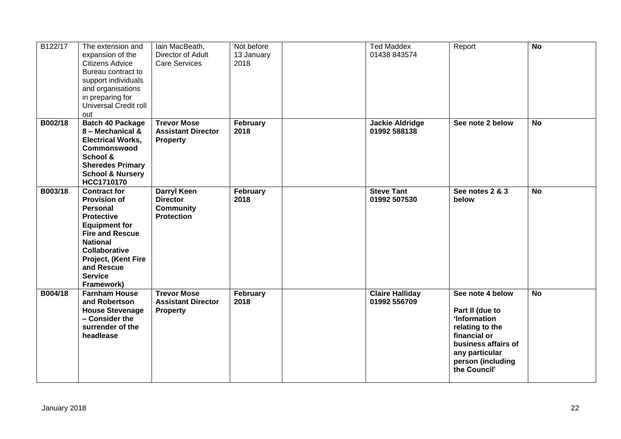| B122/17 | The extension and<br>expansion of the<br><b>Citizens Advice</b><br>Bureau contract to<br>support individuals<br>and organisations<br>in preparing for<br>Universal Credit roll<br>out                                                                | lain MacBeath,<br>Director of Adult<br><b>Care Services</b>                    | Not before<br>13 January<br>2018 | <b>Ted Maddex</b><br>01438 843574      | Report                                                                                                                                                               | <b>No</b> |
|---------|------------------------------------------------------------------------------------------------------------------------------------------------------------------------------------------------------------------------------------------------------|--------------------------------------------------------------------------------|----------------------------------|----------------------------------------|----------------------------------------------------------------------------------------------------------------------------------------------------------------------|-----------|
| B002/18 | <b>Batch 40 Package</b><br>8 - Mechanical &<br><b>Electrical Works,</b><br>Commonswood<br>School &<br><b>Sheredes Primary</b><br><b>School &amp; Nursery</b><br>HCC1710170                                                                           | <b>Trevor Mose</b><br><b>Assistant Director</b><br><b>Property</b>             | February<br>2018                 | <b>Jackie Aldridge</b><br>01992 588138 | See note 2 below                                                                                                                                                     | <b>No</b> |
| B003/18 | <b>Contract for</b><br><b>Provision of</b><br><b>Personal</b><br><b>Protective</b><br><b>Equipment for</b><br><b>Fire and Rescue</b><br><b>National</b><br><b>Collaborative</b><br>Project, (Kent Fire<br>and Rescue<br><b>Service</b><br>Framework) | <b>Darryl Keen</b><br><b>Director</b><br><b>Community</b><br><b>Protection</b> | February<br>2018                 | <b>Steve Tant</b><br>01992 507530      | See notes 2 & 3<br>below                                                                                                                                             | <b>No</b> |
| B004/18 | <b>Farnham House</b><br>and Robertson<br><b>House Stevenage</b><br>- Consider the<br>surrender of the<br>headlease                                                                                                                                   | <b>Trevor Mose</b><br><b>Assistant Director</b><br><b>Property</b>             | February<br>2018                 | <b>Claire Halliday</b><br>01992 556709 | See note 4 below<br>Part II (due to<br>'Information<br>relating to the<br>financial or<br>business affairs of<br>any particular<br>person (including<br>the Council' | <b>No</b> |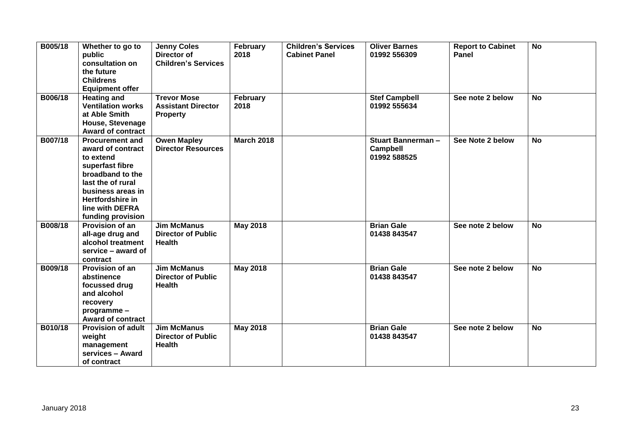| B005/18 | Whether to go to<br>public<br>consultation on<br>the future<br><b>Childrens</b><br><b>Equipment offer</b>                                                                                             | <b>Jenny Coles</b><br>Director of<br><b>Children's Services</b>    | February<br>2018  | <b>Children's Services</b><br><b>Cabinet Panel</b> | <b>Oliver Barnes</b><br>01992 556309                        | <b>Report to Cabinet</b><br>Panel | <b>No</b> |
|---------|-------------------------------------------------------------------------------------------------------------------------------------------------------------------------------------------------------|--------------------------------------------------------------------|-------------------|----------------------------------------------------|-------------------------------------------------------------|-----------------------------------|-----------|
| B006/18 | <b>Heating and</b><br><b>Ventilation works</b><br>at Able Smith<br>House, Stevenage<br>Award of contract                                                                                              | <b>Trevor Mose</b><br><b>Assistant Director</b><br><b>Property</b> | February<br>2018  |                                                    | <b>Stef Campbell</b><br>01992 555634                        | See note 2 below                  | <b>No</b> |
| B007/18 | <b>Procurement and</b><br>award of contract<br>to extend<br>superfast fibre<br>broadband to the<br>last the of rural<br>business areas in<br>Hertfordshire in<br>line with DEFRA<br>funding provision | <b>Owen Mapley</b><br><b>Director Resources</b>                    | <b>March 2018</b> |                                                    | <b>Stuart Bannerman-</b><br><b>Campbell</b><br>01992 588525 | See Note 2 below                  | <b>No</b> |
| B008/18 | Provision of an<br>all-age drug and<br>alcohol treatment<br>service – award of<br>contract                                                                                                            | <b>Jim McManus</b><br><b>Director of Public</b><br><b>Health</b>   | <b>May 2018</b>   |                                                    | <b>Brian Gale</b><br>01438 843547                           | See note 2 below                  | <b>No</b> |
| B009/18 | <b>Provision of an</b><br>abstinence<br>focussed drug<br>and alcohol<br>recovery<br>programme -<br><b>Award of contract</b>                                                                           | <b>Jim McManus</b><br><b>Director of Public</b><br><b>Health</b>   | <b>May 2018</b>   |                                                    | <b>Brian Gale</b><br>01438 843547                           | See note 2 below                  | <b>No</b> |
| B010/18 | <b>Provision of adult</b><br>weight<br>management<br>services - Award<br>of contract                                                                                                                  | <b>Jim McManus</b><br><b>Director of Public</b><br><b>Health</b>   | <b>May 2018</b>   |                                                    | <b>Brian Gale</b><br>01438 843547                           | See note 2 below                  | <b>No</b> |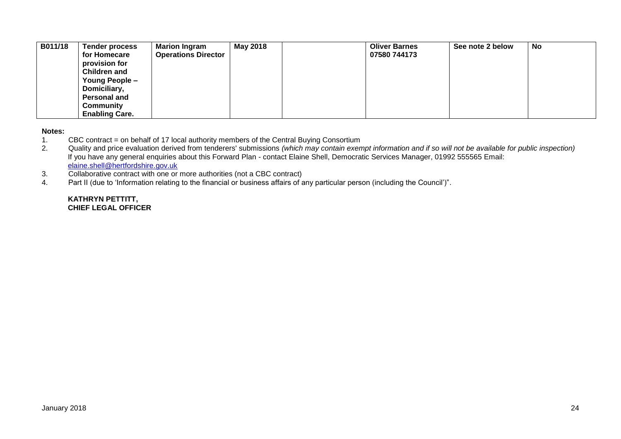| B011/18 | Tender process<br>for Homecare | <b>Marion Ingram</b><br><b>Operations Director</b> | May 2018 | <b>Oliver Barnes</b><br>07580 744173 | See note 2 below | <b>No</b> |
|---------|--------------------------------|----------------------------------------------------|----------|--------------------------------------|------------------|-----------|
|         | provision for                  |                                                    |          |                                      |                  |           |
|         | <b>Children and</b>            |                                                    |          |                                      |                  |           |
|         | Young People -                 |                                                    |          |                                      |                  |           |
|         | Domiciliary,                   |                                                    |          |                                      |                  |           |
|         | Personal and                   |                                                    |          |                                      |                  |           |
|         | <b>Community</b>               |                                                    |          |                                      |                  |           |
|         | <b>Enabling Care.</b>          |                                                    |          |                                      |                  |           |

#### **Notes:**

1. CBC contract = on behalf of 17 local authority members of the Central Buying Consortium<br>2. Quality and price evaluation derived from tenderers' submissions (which may contain exen

2. Quality and price evaluation derived from tenderers' submissions *(which may contain exempt information and if so will not be available for public inspection)* If you have any general enquiries about this Forward Plan - contact Elaine Shell, Democratic Services Manager, 01992 555565 Email: [elaine.shell@hertfordshire.gov.uk](mailto:elaine.shell@hertfordshire.gov.uk) 

- 3. Collaborative contract with one or more authorities (not a CBC contract)
- 4. Part II (due to 'Information relating to the financial or business affairs of any particular person (including the Council')".

#### **KATHRYN PETTITT, CHIEF LEGAL OFFICER**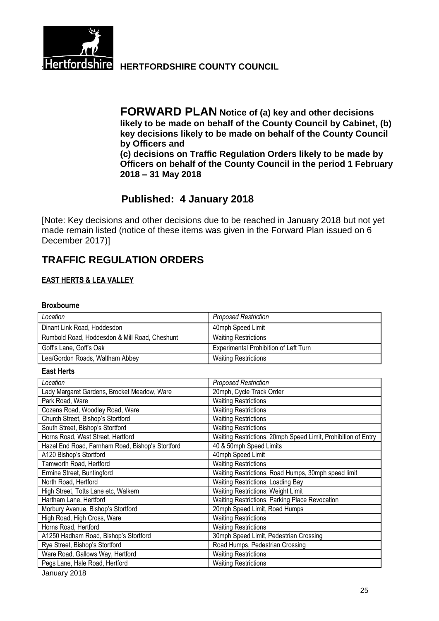

**Hertfordshire HERTFORDSHIRE COUNTY COUNCIL** 

**FORWARD PLAN Notice of (a) key and other decisions likely to be made on behalf of the County Council by Cabinet, (b) key decisions likely to be made on behalf of the County Council by Officers and (c) decisions on Traffic Regulation Orders likely to be made by Officers on behalf of the County Council in the period 1 February 2018 – 31 May 2018**

# **Published: 4 January 2018**

[Note: Key decisions and other decisions due to be reached in January 2018 but not yet made remain listed (notice of these items was given in the Forward Plan issued on 6 December 2017)]

# **TRAFFIC REGULATION ORDERS**

## **EAST HERTS & LEA VALLEY**

### **Broxbourne**

| Location                                      | <b>Proposed Restriction</b>                  |
|-----------------------------------------------|----------------------------------------------|
| Dinant Link Road, Hoddesdon                   | 40mph Speed Limit                            |
| Rumbold Road, Hoddesdon & Mill Road, Cheshunt | <b>Waiting Restrictions</b>                  |
| Goff's Lane, Goff's Oak                       | <b>Experimental Prohibition of Left Turn</b> |
| Lea/Gordon Roads, Waltham Abbey               | <b>Waiting Restrictions</b>                  |

**East Herts**

| Location                                         | <b>Proposed Restriction</b>                                   |
|--------------------------------------------------|---------------------------------------------------------------|
| Lady Margaret Gardens, Brocket Meadow, Ware      | 20mph, Cycle Track Order                                      |
| Park Road, Ware                                  | <b>Waiting Restrictions</b>                                   |
| Cozens Road, Woodley Road, Ware                  | <b>Waiting Restrictions</b>                                   |
| Church Street, Bishop's Stortford                | <b>Waiting Restrictions</b>                                   |
| South Street, Bishop's Stortford                 | <b>Waiting Restrictions</b>                                   |
| Horns Road, West Street, Hertford                | Waiting Restrictions, 20mph Speed Limit, Prohibition of Entry |
| Hazel End Road, Farnham Road, Bishop's Stortford | 40 & 50mph Speed Limits                                       |
| A120 Bishop's Stortford                          | 40mph Speed Limit                                             |
| Tamworth Road, Hertford                          | <b>Waiting Restrictions</b>                                   |
| Ermine Street, Buntingford                       | Waiting Restrictions, Road Humps, 30mph speed limit           |
| North Road, Hertford                             | Waiting Restrictions, Loading Bay                             |
| High Street, Totts Lane etc, Walkern             | Waiting Restrictions, Weight Limit                            |
| Hartham Lane, Hertford                           | Waiting Restrictions, Parking Place Revocation                |
| Morbury Avenue, Bishop's Stortford               | 20mph Speed Limit, Road Humps                                 |
| High Road, High Cross, Ware                      | <b>Waiting Restrictions</b>                                   |
| Horns Road, Hertford                             | <b>Waiting Restrictions</b>                                   |
| A1250 Hadham Road, Bishop's Stortford            | 30mph Speed Limit, Pedestrian Crossing                        |
| Rye Street, Bishop's Stortford                   | Road Humps, Pedestrian Crossing                               |
| Ware Road, Gallows Way, Hertford                 | <b>Waiting Restrictions</b>                                   |
| Pegs Lane, Hale Road, Hertford                   | <b>Waiting Restrictions</b>                                   |

January 2018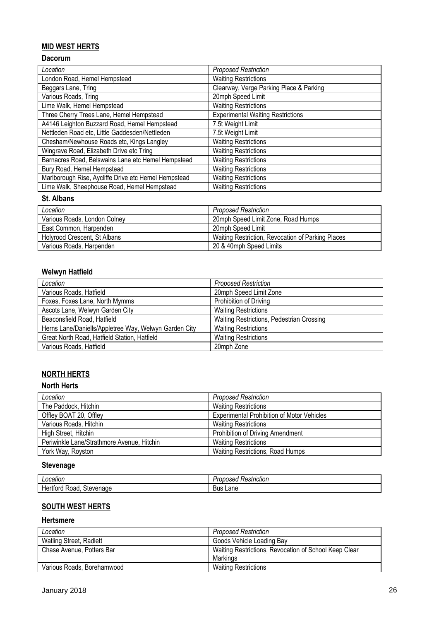## **MID WEST HERTS**

## **Dacorum**

| Location                                             | <b>Proposed Restriction</b>              |
|------------------------------------------------------|------------------------------------------|
| London Road, Hemel Hempstead                         | <b>Waiting Restrictions</b>              |
| Beggars Lane, Tring                                  | Clearway, Verge Parking Place & Parking  |
| Various Roads, Tring                                 | 20mph Speed Limit                        |
| Lime Walk, Hemel Hempstead                           | <b>Waiting Restrictions</b>              |
| Three Cherry Trees Lane, Hemel Hempstead             | <b>Experimental Waiting Restrictions</b> |
| A4146 Leighton Buzzard Road, Hemel Hempstead         | 7.5t Weight Limit                        |
| Nettleden Road etc, Little Gaddesden/Nettleden       | 7.5t Weight Limit                        |
| Chesham/Newhouse Roads etc, Kings Langley            | <b>Waiting Restrictions</b>              |
| Wingrave Road, Elizabeth Drive etc Tring             | <b>Waiting Restrictions</b>              |
| Barnacres Road, Belswains Lane etc Hemel Hempstead   | <b>Waiting Restrictions</b>              |
| Bury Road, Hemel Hempstead                           | <b>Waiting Restrictions</b>              |
| Marlborough Rise, Aycliffe Drive etc Hemel Hempstead | <b>Waiting Restrictions</b>              |
| Lime Walk, Sheephouse Road, Hemel Hempstead          | <b>Waiting Restrictions</b>              |

### **St. Albans**

| Location                     | Proposed Restriction                              |
|------------------------------|---------------------------------------------------|
| Various Roads, London Colney | 20mph Speed Limit Zone, Road Humps                |
| East Common, Harpenden       | 20mph Speed Limit                                 |
| Holyrood Crescent, St Albans | Waiting Restriction, Revocation of Parking Places |
| Various Roads, Harpenden     | 20 & 40mph Speed Limits                           |

## **Welwyn Hatfield**

| Location                                              | <b>Proposed Restriction</b>               |
|-------------------------------------------------------|-------------------------------------------|
| Various Roads, Hatfield                               | 20mph Speed Limit Zone                    |
| Foxes, Foxes Lane, North Mymms                        | Prohibition of Driving                    |
| Ascots Lane, Welwyn Garden City                       | <b>Waiting Restrictions</b>               |
| Beaconsfield Road, Hatfield                           | Waiting Restrictions, Pedestrian Crossing |
| Herns Lane/Daniells/Appletree Way, Welwyn Garden City | <b>Waiting Restrictions</b>               |
| Great North Road, Hatfield Station, Hatfield          | <b>Waiting Restrictions</b>               |
| Various Roads, Hatfield                               | 20mph Zone                                |

# **NORTH HERTS**

## **North Herts**

| Location                                   | <b>Proposed Restriction</b>                       |
|--------------------------------------------|---------------------------------------------------|
| The Paddock, Hitchin                       | <b>Waiting Restrictions</b>                       |
| Offley BOAT 20, Offley                     | <b>Experimental Prohibition of Motor Vehicles</b> |
| Various Roads, Hitchin                     | <b>Waiting Restrictions</b>                       |
| High Street, Hitchin                       | Prohibition of Driving Amendment                  |
| Periwinkle Lane/Strathmore Avenue, Hitchin | <b>Waiting Restrictions</b>                       |
| York Way, Royston                          | <b>Waiting Restrictions, Road Humps</b>           |

# **Stevenage**

| Location                           | $\cdot$ .<br>osed<br>Restriction<br>. Jr.<br>. ODF |
|------------------------------------|----------------------------------------------------|
| .<br>Stevenage<br>Road<br>าπτοru . | Lane<br>Bus                                        |

# **SOUTH WEST HERTS**

#### **Hertsmere**

| Location                       | <b>Proposed Restriction</b>                                       |
|--------------------------------|-------------------------------------------------------------------|
| <b>Watling Street, Radlett</b> | Goods Vehicle Loading Bay                                         |
| Chase Avenue, Potters Bar      | Waiting Restrictions, Revocation of School Keep Clear<br>Markings |
| Various Roads, Borehamwood     | <b>Waiting Restrictions</b>                                       |